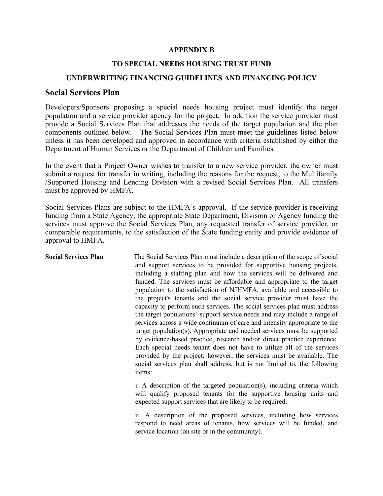## **APPENDIX B**

## **TO SPECIAL NEEDS HOUSING TRUST FUND**

## **UNDERWRITING FINANCING GUIDELINES AND FINANCING POLICY**

## **Social Services Plan**

Developers/Sponsors proposing a special needs housing project must identify the target population and a service provider agency for the project. In addition the service provider must provide a Social Services Plan that addresses the needs of the target population and the plan components outlined below. The Social Services Plan must meet the guidelines listed below unless it has been developed and approved in accordance with criteria established by either the Department of Human Services or the Department of Children and Families.

In the event that a Project Owner wishes to transfer to a new service provider, the owner must submit a request for transfer in writing, including the reasons for the request, to the Multifamily /Supported Housing and Lending Division with a revised Social Services Plan. All transfers must be approved by HMFA.

Social Services Plans are subject to the HMFA's approval. If the service provider is receiving funding from a State Agency, the appropriate State Department, Division or Agency funding the services must approve the Social Services Plan, any requested transfer of service provider, or comparable requirements, to the satisfaction of the State funding entity and provide evidence of approval to HMFA.

**Social Services Plan** The Social Services Plan must include a description of the scope of social and support services to be provided for supportive housing projects, including a staffing plan and how the services will be delivered and funded. The services must be affordable and appropriate to the target population to the satisfaction of NJHMFA, available and accessible to the project's tenants and the social service provider must have the capacity to perform such services. The social services plan must address the target populations' support service needs and may include a range of services across a wide continuum of care and intensity appropriate to the target population(s). Appropriate and needed services must be supported by evidence-based practice, research and/or direct practice experience. Each special needs tenant does not have to utilize all of the services provided by the project; however, the services must be available. The social services plan shall address, but is not limited to, the following items:

> i. A description of the targeted population(s), including criteria which will qualify proposed tenants for the supportive housing units and expected support services that are likely to be required.

> ii. A description of the proposed services, including how services respond to need areas of tenants, how services will be funded, and service location (on site or in the community).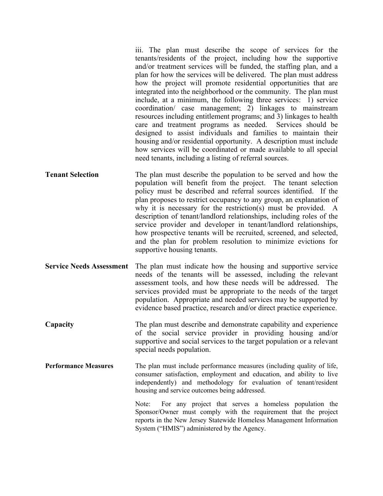iii. The plan must describe the scope of services for the tenants/residents of the project, including how the supportive and/or treatment services will be funded, the staffing plan, and a plan for how the services will be delivered. The plan must address how the project will promote residential opportunities that are integrated into the neighborhood or the community. The plan must include, at a minimum, the following three services: 1) service coordination/ case management; 2) linkages to mainstream resources including entitlement programs; and 3) linkages to health care and treatment programs as needed. Services should be designed to assist individuals and families to maintain their housing and/or residential opportunity. A description must include how services will be coordinated or made available to all special need tenants, including a listing of referral sources.

- **Tenant Selection** The plan must describe the population to be served and how the population will benefit from the project. The tenant selection policy must be described and referral sources identified. If the plan proposes to restrict occupancy to any group, an explanation of why it is necessary for the restriction(s) must be provided. A description of tenant/landlord relationships, including roles of the service provider and developer in tenant/landlord relationships, how prospective tenants will be recruited, screened, and selected, and the plan for problem resolution to minimize evictions for supportive housing tenants.
- **Service Needs Assessment** The plan must indicate how the housing and supportive service needs of the tenants will be assessed, including the relevant assessment tools, and how these needs will be addressed. The services provided must be appropriate to the needs of the target population. Appropriate and needed services may be supported by evidence based practice, research and/or direct practice experience.
- **Capacity** The plan must describe and demonstrate capability and experience of the social service provider in providing housing and/or supportive and social services to the target population or a relevant special needs population.
- **Performance Measures** The plan must include performance measures (including quality of life, consumer satisfaction, employment and education, and ability to live independently) and methodology for evaluation of tenant/resident housing and service outcomes being addressed.

Note: For any project that serves a homeless population the Sponsor/Owner must comply with the requirement that the project reports in the New Jersey Statewide Homeless Management Information System ("HMIS") administered by the Agency.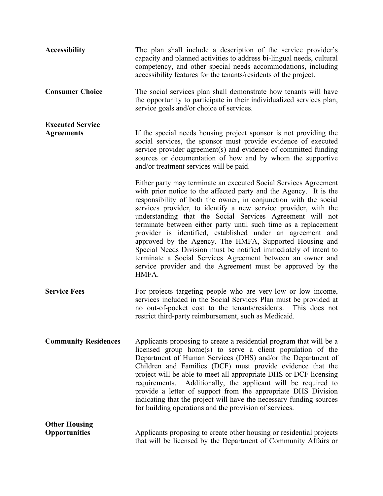| <b>Accessibility</b>                         | The plan shall include a description of the service provider's<br>capacity and planned activities to address bi-lingual needs, cultural<br>competency, and other special needs accommodations, including<br>accessibility features for the tenants/residents of the project.                                                                                                                                                                                                                                                                                                                                                                                               |
|----------------------------------------------|----------------------------------------------------------------------------------------------------------------------------------------------------------------------------------------------------------------------------------------------------------------------------------------------------------------------------------------------------------------------------------------------------------------------------------------------------------------------------------------------------------------------------------------------------------------------------------------------------------------------------------------------------------------------------|
| <b>Consumer Choice</b>                       | The social services plan shall demonstrate how tenants will have<br>the opportunity to participate in their individualized services plan,<br>service goals and/or choice of services.                                                                                                                                                                                                                                                                                                                                                                                                                                                                                      |
| <b>Executed Service</b><br><b>Agreements</b> | If the special needs housing project sponsor is not providing the<br>social services, the sponsor must provide evidence of executed<br>service provider agreement(s) and evidence of committed funding<br>sources or documentation of how and by whom the supportive<br>and/or treatment services will be paid.<br>Either party may terminate an executed Social Services Agreement                                                                                                                                                                                                                                                                                        |
|                                              | with prior notice to the affected party and the Agency. It is the<br>responsibility of both the owner, in conjunction with the social<br>services provider, to identify a new service provider, with the<br>understanding that the Social Services Agreement will not<br>terminate between either party until such time as a replacement<br>provider is identified, established under an agreement and<br>approved by the Agency. The HMFA, Supported Housing and<br>Special Needs Division must be notified immediately of intent to<br>terminate a Social Services Agreement between an owner and<br>service provider and the Agreement must be approved by the<br>HMFA. |
| <b>Service Fees</b>                          | For projects targeting people who are very-low or low income,<br>services included in the Social Services Plan must be provided at<br>no out-of-pocket cost to the tenants/residents. This does not<br>restrict third-party reimbursement, such as Medicaid.                                                                                                                                                                                                                                                                                                                                                                                                               |
| <b>Community Residences</b>                  | Applicants proposing to create a residential program that will be a<br>licensed group home(s) to serve a client population of the<br>Department of Human Services (DHS) and/or the Department of<br>Children and Families (DCF) must provide evidence that the<br>project will be able to meet all appropriate DHS or DCF licensing<br>requirements. Additionally, the applicant will be required to<br>provide a letter of support from the appropriate DHS Division<br>indicating that the project will have the necessary funding sources<br>for building operations and the provision of services.                                                                     |
| <b>Other Housing</b><br><b>Opportunities</b> | Applicants proposing to create other housing or residential projects<br>that will be licensed by the Department of Community Affairs or                                                                                                                                                                                                                                                                                                                                                                                                                                                                                                                                    |